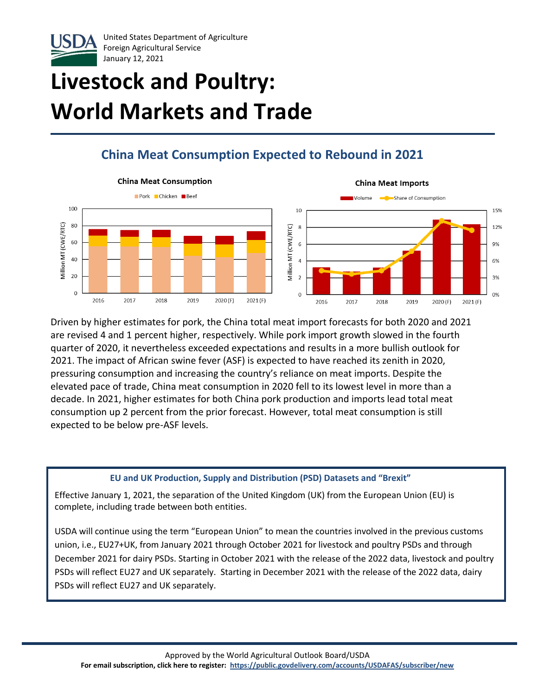

# **Livestock and Poultry: World Markets and Trade**

## **China Meat Consumption Expected to Rebound in 2021**



Driven by higher estimates for pork, the China total meat import forecasts for both 2020 and 2021 are revised 4 and 1 percent higher, respectively. While pork import growth slowed in the fourth quarter of 2020, it nevertheless exceeded expectations and results in a more bullish outlook for 2021. The impact of African swine fever (ASF) is expected to have reached its zenith in 2020, pressuring consumption and increasing the country's reliance on meat imports. Despite the elevated pace of trade, China meat consumption in 2020 fell to its lowest level in more than a decade. In 2021, higher estimates for both China pork production and imports lead total meat consumption up 2 percent from the prior forecast. However, total meat consumption is still expected to be below pre-ASF levels.

#### **EU and UK Production, Supply and Distribution (PSD) Datasets and "Brexit"**

Effective January 1, 2021, the separation of the United Kingdom (UK) from the European Union (EU) is complete, including trade between both entities.

USDA will continue using the term "European Union" to mean the countries involved in the previous customs union, i.e., EU27+UK, from January 2021 through October 2021 for livestock and poultry PSDs and through December 2021 for dairy PSDs. Starting in October 2021 with the release of the 2022 data, livestock and poultry PSDs will reflect EU27 and UK separately. Starting in December 2021 with the release of the 2022 data, dairy PSDs will reflect EU27 and UK separately.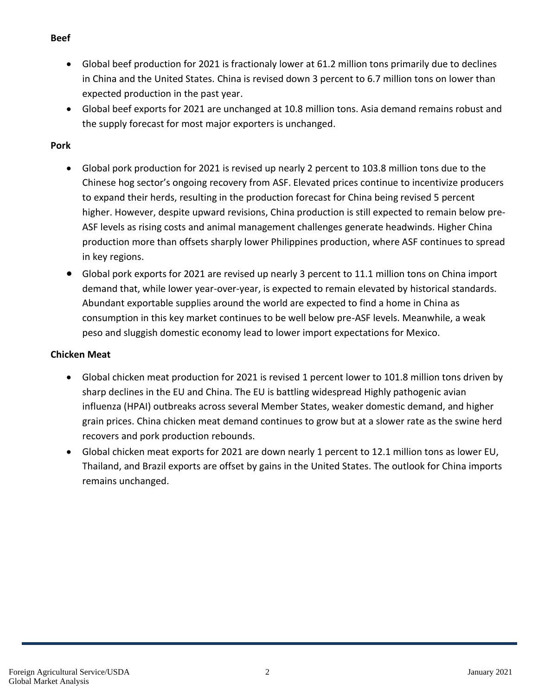- **Beef**
	- Global beef production for 2021 is fractionaly lower at 61.2 million tons primarily due to declines in China and the United States. China is revised down 3 percent to 6.7 million tons on lower than expected production in the past year.
	- Global beef exports for 2021 are unchanged at 10.8 million tons. Asia demand remains robust and the supply forecast for most major exporters is unchanged.

#### **Pork**

- Global pork production for 2021 is revised up nearly 2 percent to 103.8 million tons due to the Chinese hog sector's ongoing recovery from ASF. Elevated prices continue to incentivize producers to expand their herds, resulting in the production forecast for China being revised 5 percent higher. However, despite upward revisions, China production is still expected to remain below pre-ASF levels as rising costs and animal management challenges generate headwinds. Higher China production more than offsets sharply lower Philippines production, where ASF continues to spread in key regions.
- Global pork exports for 2021 are revised up nearly 3 percent to 11.1 million tons on China import demand that, while lower year-over-year, is expected to remain elevated by historical standards. Abundant exportable supplies around the world are expected to find a home in China as consumption in this key market continues to be well below pre-ASF levels. Meanwhile, a weak peso and sluggish domestic economy lead to lower import expectations for Mexico.

#### **Chicken Meat**

- Global chicken meat production for 2021 is revised 1 percent lower to 101.8 million tons driven by sharp declines in the EU and China. The EU is battling widespread Highly pathogenic avian influenza (HPAI) outbreaks across several Member States, weaker domestic demand, and higher grain prices. China chicken meat demand continues to grow but at a slower rate as the swine herd recovers and pork production rebounds.
- Global chicken meat exports for 2021 are down nearly 1 percent to 12.1 million tons as lower EU, Thailand, and Brazil exports are offset by gains in the United States. The outlook for China imports remains unchanged.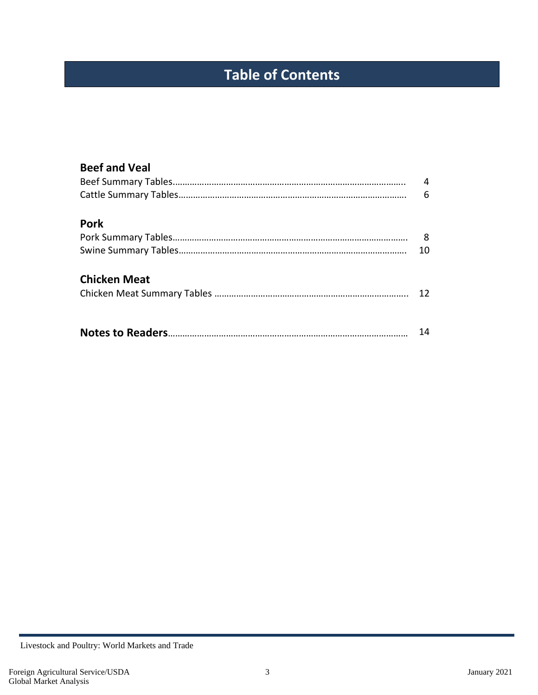## **Table of Contents**

| <b>Beef and Veal</b> |    |
|----------------------|----|
|                      | 4  |
|                      | 6  |
| <b>Pork</b>          |    |
|                      | 8  |
|                      | 10 |
| <b>Chicken Meat</b>  |    |
|                      | 12 |
|                      |    |
|                      | 14 |

Livestock and Poultry: World Markets and Trade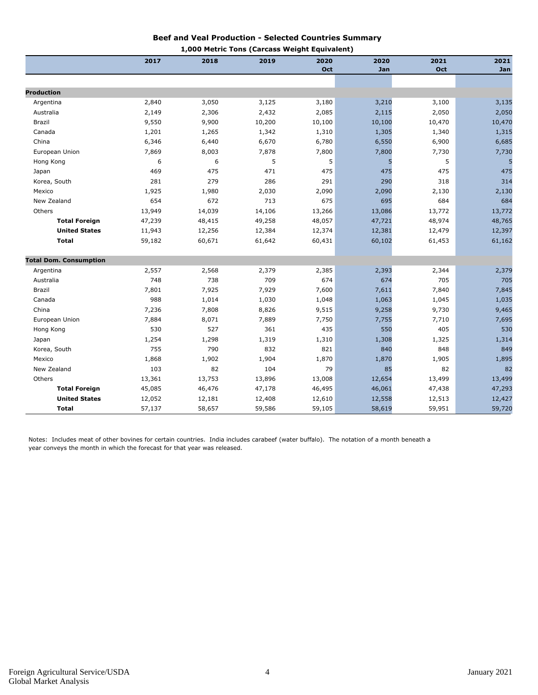#### **Beef and Veal Production - Selected Countries Summary 1,000 Metric Tons (Carcass Weight Equivalent)**

|                               |        |        | 1,000 Metric Tons (Carcass Weight Equivalent) |        |        |        |        |
|-------------------------------|--------|--------|-----------------------------------------------|--------|--------|--------|--------|
|                               | 2017   | 2018   | 2019                                          | 2020   | 2020   | 2021   | 2021   |
|                               |        |        |                                               | Oct    | Jan    | Oct    | Jan    |
|                               |        |        |                                               |        |        |        |        |
| <b>Production</b>             |        |        |                                               |        |        |        |        |
| Argentina                     | 2,840  | 3,050  | 3,125                                         | 3,180  | 3,210  | 3,100  | 3,135  |
| Australia                     | 2,149  | 2,306  | 2,432                                         | 2,085  | 2,115  | 2,050  | 2,050  |
| Brazil                        | 9,550  | 9,900  | 10,200                                        | 10,100 | 10,100 | 10,470 | 10,470 |
| Canada                        | 1,201  | 1,265  | 1,342                                         | 1,310  | 1,305  | 1,340  | 1,315  |
| China                         | 6,346  | 6,440  | 6,670                                         | 6,780  | 6,550  | 6,900  | 6,685  |
| European Union                | 7,869  | 8,003  | 7,878                                         | 7,800  | 7,800  | 7,730  | 7,730  |
| Hong Kong                     | 6      | 6      | 5                                             | 5      | 5      | 5      |        |
| Japan                         | 469    | 475    | 471                                           | 475    | 475    | 475    | 475    |
| Korea, South                  | 281    | 279    | 286                                           | 291    | 290    | 318    | 314    |
| Mexico                        | 1,925  | 1,980  | 2,030                                         | 2,090  | 2,090  | 2,130  | 2,130  |
| New Zealand                   | 654    | 672    | 713                                           | 675    | 695    | 684    | 684    |
| Others                        | 13,949 | 14,039 | 14,106                                        | 13,266 | 13,086 | 13,772 | 13,772 |
| <b>Total Foreign</b>          | 47,239 | 48,415 | 49,258                                        | 48,057 | 47,721 | 48,974 | 48,765 |
| <b>United States</b>          | 11,943 | 12,256 | 12,384                                        | 12,374 | 12,381 | 12,479 | 12,397 |
| <b>Total</b>                  | 59,182 | 60,671 | 61,642                                        | 60,431 | 60,102 | 61,453 | 61,162 |
| <b>Total Dom. Consumption</b> |        |        |                                               |        |        |        |        |
| Argentina                     | 2,557  | 2,568  | 2,379                                         | 2,385  | 2,393  | 2,344  | 2,379  |
| Australia                     | 748    | 738    | 709                                           | 674    | 674    | 705    | 705    |
| Brazil                        | 7,801  | 7,925  | 7,929                                         | 7,600  | 7,611  | 7,840  | 7,845  |
| Canada                        | 988    | 1,014  | 1,030                                         | 1,048  | 1,063  | 1,045  | 1,035  |
| China                         | 7,236  | 7,808  | 8,826                                         | 9,515  | 9,258  | 9,730  | 9,465  |
| European Union                | 7,884  | 8,071  | 7,889                                         | 7,750  | 7,755  | 7,710  | 7,695  |
| Hong Kong                     | 530    | 527    | 361                                           | 435    | 550    | 405    | 530    |
| Japan                         | 1,254  | 1,298  | 1,319                                         | 1,310  | 1,308  | 1,325  | 1,314  |
| Korea, South                  | 755    | 790    | 832                                           | 821    | 840    | 848    | 849    |
| Mexico                        | 1,868  | 1,902  | 1,904                                         | 1,870  | 1,870  | 1,905  | 1,895  |
| New Zealand                   | 103    | 82     | 104                                           | 79     | 85     | 82     | 82     |
| Others                        | 13,361 | 13,753 | 13,896                                        | 13,008 | 12,654 | 13,499 | 13,499 |
| <b>Total Foreign</b>          | 45,085 | 46,476 | 47,178                                        | 46,495 | 46,061 | 47,438 | 47,293 |
| <b>United States</b>          | 12,052 | 12,181 | 12,408                                        | 12,610 | 12,558 | 12,513 | 12,427 |
| Total                         | 57,137 | 58,657 | 59,586                                        | 59,105 | 58,619 | 59,951 | 59,720 |

Notes: Includes meat of other bovines for certain countries. India includes carabeef (water buffalo). The notation of a month beneath a year conveys the month in which the forecast for that year was released.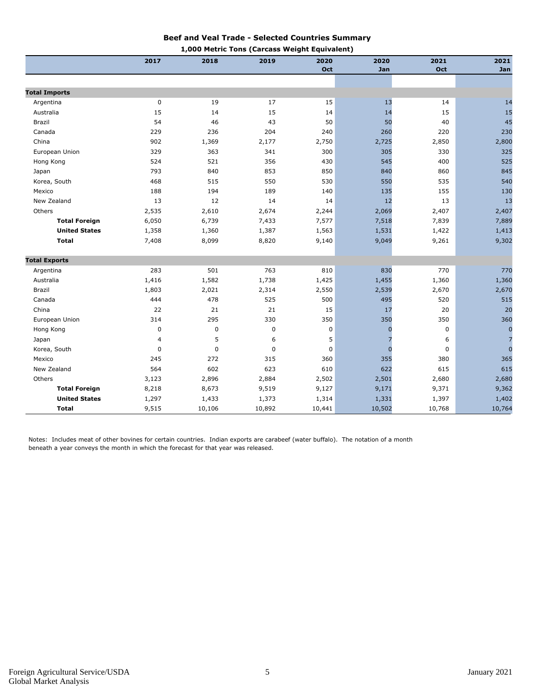#### **Beef and Veal Trade - Selected Countries Summary 1,000 Metric Tons (Carcass Weight Equivalent)**

|                      | 2017        | -, , , ,<br>2018 | יושטן כנוויט ו<br>2019 | cass weight cyulv<br>2020 | <br>2020    | 2021   | 2021           |
|----------------------|-------------|------------------|------------------------|---------------------------|-------------|--------|----------------|
|                      |             |                  |                        | Oct                       | Jan         | Oct    | Jan            |
|                      |             |                  |                        |                           |             |        |                |
| <b>Total Imports</b> |             |                  |                        |                           |             |        |                |
| Argentina            | $\pmb{0}$   | 19               | 17                     | 15                        | 13          | 14     | 14             |
| Australia            | 15          | 14               | 15                     | 14                        | 14          | 15     | 15             |
| Brazil               | 54          | 46               | 43                     | 50                        | 50          | 40     | 45             |
| Canada               | 229         | 236              | 204                    | 240                       | 260         | 220    | 230            |
| China                | 902         | 1,369            | 2,177                  | 2,750                     | 2,725       | 2,850  | 2,800          |
| European Union       | 329         | 363              | 341                    | 300                       | 305         | 330    | 325            |
| Hong Kong            | 524         | 521              | 356                    | 430                       | 545         | 400    | 525            |
| Japan                | 793         | 840              | 853                    | 850                       | 840         | 860    | 845            |
| Korea, South         | 468         | 515              | 550                    | 530                       | 550         | 535    | 540            |
| Mexico               | 188         | 194              | 189                    | 140                       | 135         | 155    | 130            |
| New Zealand          | 13          | 12               | 14                     | 14                        | 12          | 13     | 13             |
| Others               | 2,535       | 2,610            | 2,674                  | 2,244                     | 2,069       | 2,407  | 2,407          |
| <b>Total Foreign</b> | 6,050       | 6,739            | 7,433                  | 7,577                     | 7,518       | 7,839  | 7,889          |
| <b>United States</b> | 1,358       | 1,360            | 1,387                  | 1,563                     | 1,531       | 1,422  | 1,413          |
| <b>Total</b>         | 7,408       | 8,099            | 8,820                  | 9,140                     | 9,049       | 9,261  | 9,302          |
| <b>Total Exports</b> |             |                  |                        |                           |             |        |                |
| Argentina            | 283         | 501              | 763                    | 810                       | 830         | 770    | 770            |
| Australia            | 1,416       | 1,582            | 1,738                  | 1,425                     | 1,455       | 1,360  | 1,360          |
| Brazil               | 1,803       | 2,021            | 2,314                  | 2,550                     | 2,539       | 2,670  | 2,670          |
| Canada               | 444         | 478              | 525                    | 500                       | 495         | 520    | 515            |
| China                | 22          | 21               | 21                     | 15                        | 17          | 20     | 20             |
| European Union       | 314         | 295              | 330                    | 350                       | 350         | 350    | 360            |
| Hong Kong            | $\mathbf 0$ | 0                | 0                      | $\mathbf 0$               | $\Omega$    | 0      | $\mathbf 0$    |
| Japan                | 4           | 5                | 6                      | 5                         |             | 6      | 7              |
| Korea, South         | $\mathbf 0$ | $\mathbf 0$      | $\mathbf 0$            | $\mathbf 0$               | $\mathbf 0$ | 0      | $\overline{0}$ |
| Mexico               | 245         | 272              | 315                    | 360                       | 355         | 380    | 365            |
| New Zealand          | 564         | 602              | 623                    | 610                       | 622         | 615    | 615            |
| Others               | 3,123       | 2,896            | 2,884                  | 2,502                     | 2,501       | 2,680  | 2,680          |
| <b>Total Foreign</b> | 8,218       | 8,673            | 9,519                  | 9,127                     | 9,171       | 9,371  | 9,362          |
| <b>United States</b> | 1,297       | 1,433            | 1,373                  | 1,314                     | 1,331       | 1,397  | 1,402          |
| <b>Total</b>         | 9,515       | 10,106           | 10,892                 | 10,441                    | 10,502      | 10,768 | 10,764         |

Notes: Includes meat of other bovines for certain countries. Indian exports are carabeef (water buffalo). The notation of a month beneath a year conveys the month in which the forecast for that year was released.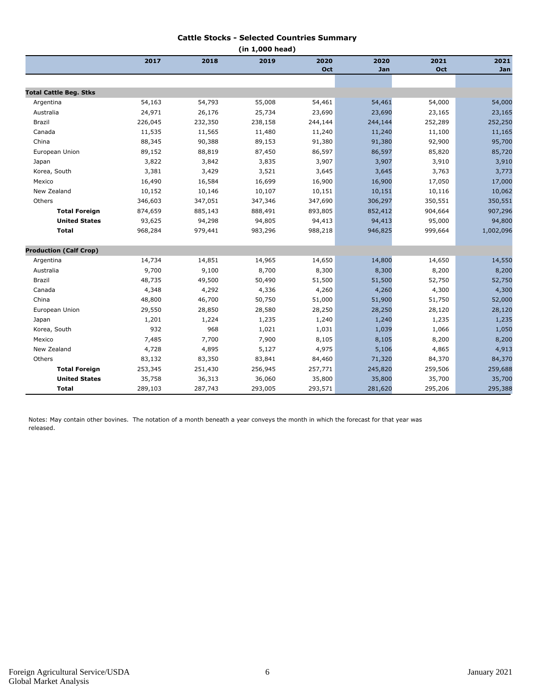#### **Cattle Stocks - Selected Countries Summary**

| (in 1,000 head)               |         |         |         |         |         |         |           |  |
|-------------------------------|---------|---------|---------|---------|---------|---------|-----------|--|
|                               | 2017    | 2018    | 2019    | 2020    | 2020    | 2021    | 2021      |  |
|                               |         |         |         | Oct     | Jan     | Oct     | Jan       |  |
|                               |         |         |         |         |         |         |           |  |
| <b>Total Cattle Beg. Stks</b> |         |         |         |         |         |         |           |  |
| Argentina                     | 54,163  | 54,793  | 55,008  | 54,461  | 54,461  | 54,000  | 54,000    |  |
| Australia                     | 24,971  | 26,176  | 25,734  | 23,690  | 23,690  | 23,165  | 23,165    |  |
| Brazil                        | 226,045 | 232,350 | 238,158 | 244,144 | 244,144 | 252,289 | 252,250   |  |
| Canada                        | 11,535  | 11,565  | 11,480  | 11,240  | 11,240  | 11,100  | 11,165    |  |
| China                         | 88,345  | 90,388  | 89,153  | 91,380  | 91,380  | 92,900  | 95,700    |  |
| European Union                | 89,152  | 88,819  | 87,450  | 86,597  | 86,597  | 85,820  | 85,720    |  |
| Japan                         | 3,822   | 3,842   | 3,835   | 3,907   | 3,907   | 3,910   | 3,910     |  |
| Korea, South                  | 3,381   | 3,429   | 3,521   | 3,645   | 3,645   | 3,763   | 3,773     |  |
| Mexico                        | 16,490  | 16,584  | 16,699  | 16,900  | 16,900  | 17,050  | 17,000    |  |
| New Zealand                   | 10,152  | 10,146  | 10,107  | 10,151  | 10,151  | 10,116  | 10,062    |  |
| Others                        | 346,603 | 347,051 | 347,346 | 347,690 | 306,297 | 350,551 | 350,551   |  |
| <b>Total Foreign</b>          | 874,659 | 885,143 | 888,491 | 893,805 | 852,412 | 904,664 | 907,296   |  |
| <b>United States</b>          | 93,625  | 94,298  | 94,805  | 94,413  | 94,413  | 95,000  | 94,800    |  |
| <b>Total</b>                  | 968,284 | 979,441 | 983,296 | 988,218 | 946,825 | 999,664 | 1,002,096 |  |
| <b>Production (Calf Crop)</b> |         |         |         |         |         |         |           |  |
| Argentina                     | 14,734  | 14,851  | 14,965  | 14,650  | 14,800  | 14,650  | 14,550    |  |
| Australia                     | 9,700   | 9,100   | 8,700   | 8,300   | 8,300   | 8,200   | 8,200     |  |
| Brazil                        | 48,735  | 49,500  | 50,490  | 51,500  | 51,500  | 52,750  | 52,750    |  |
| Canada                        | 4,348   | 4,292   | 4,336   | 4,260   | 4,260   | 4,300   | 4,300     |  |
| China                         | 48,800  | 46,700  | 50,750  | 51,000  | 51,900  | 51,750  | 52,000    |  |
| European Union                | 29,550  | 28,850  | 28,580  | 28,250  | 28,250  | 28,120  | 28,120    |  |
| Japan                         | 1,201   | 1,224   | 1,235   | 1,240   | 1,240   | 1,235   | 1,235     |  |
| Korea, South                  | 932     | 968     | 1,021   | 1,031   | 1,039   | 1,066   | 1,050     |  |
| Mexico                        | 7,485   | 7,700   | 7,900   | 8,105   | 8,105   | 8,200   | 8,200     |  |
| New Zealand                   | 4,728   | 4,895   | 5,127   | 4,975   | 5,106   | 4,865   | 4,913     |  |
| Others                        | 83,132  | 83,350  | 83,841  | 84,460  | 71,320  | 84,370  | 84,370    |  |
| <b>Total Foreign</b>          | 253,345 | 251,430 | 256,945 | 257,771 | 245,820 | 259,506 | 259,688   |  |
| <b>United States</b>          | 35,758  | 36,313  | 36,060  | 35,800  | 35,800  | 35,700  | 35,700    |  |
| <b>Total</b>                  | 289,103 | 287,743 | 293,005 | 293,571 | 281,620 | 295,206 | 295,388   |  |

Notes: May contain other bovines. The notation of a month beneath a year conveys the month in which the forecast for that year was released.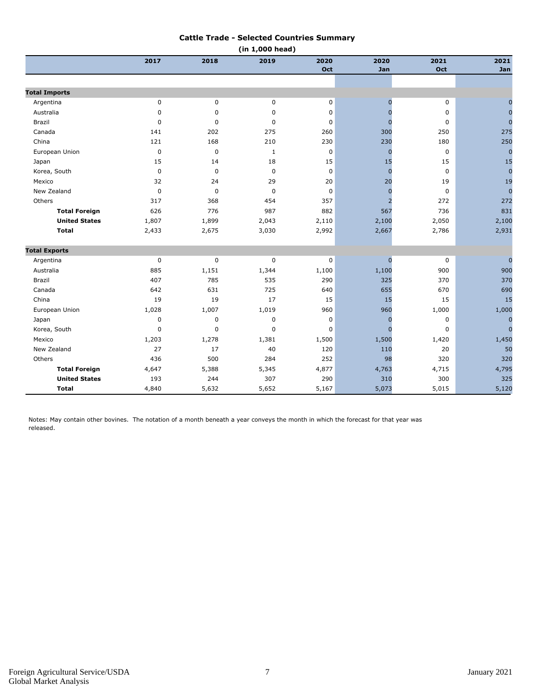#### **Cattle Trade - Selected Countries Summary**

| (in 1,000 head)      |              |             |              |             |                |             |                |  |
|----------------------|--------------|-------------|--------------|-------------|----------------|-------------|----------------|--|
|                      | 2017         | 2018        | 2019         | 2020        | 2020           | 2021        | 2021           |  |
|                      |              |             |              | Oct         | Jan            | Oct         | Jan            |  |
|                      |              |             |              |             |                |             |                |  |
| <b>Total Imports</b> |              |             |              |             |                |             |                |  |
| Argentina            | $\pmb{0}$    | 0           | 0            | $\mathbf 0$ | $\overline{0}$ | $\mathbf 0$ | $\overline{0}$ |  |
| Australia            | $\mathbf 0$  | 0           | 0            | 0           | $\Omega$       | 0           | $\mathbf 0$    |  |
| Brazil               | $\mathbf 0$  | $\mathbf 0$ | $\mathbf 0$  | $\mathbf 0$ | $\Omega$       | $\pmb{0}$   | $\overline{0}$ |  |
| Canada               | 141          | 202         | 275          | 260         | 300            | 250         | 275            |  |
| China                | 121          | 168         | 210          | 230         | 230            | 180         | 250            |  |
| European Union       | $\mathbf 0$  | $\pmb{0}$   | $\mathbf{1}$ | 0           | $\mathbf 0$    | 0           | $\overline{0}$ |  |
| Japan                | 15           | 14          | 18           | 15          | 15             | 15          | 15             |  |
| Korea, South         | $\pmb{0}$    | $\mathbf 0$ | $\mathbf 0$  | $\mathbf 0$ | $\Omega$       | $\mathbf 0$ | $\mathbf{0}$   |  |
| Mexico               | 32           | 24          | 29           | 20          | 20             | 19          | 19             |  |
| New Zealand          | $\mathbf 0$  | 0           | $\mathbf 0$  | 0           | $\overline{0}$ | $\mathbf 0$ | $\overline{0}$ |  |
| Others               | 317          | 368         | 454          | 357         | $\overline{2}$ | 272         | 272            |  |
| <b>Total Foreign</b> | 626          | 776         | 987          | 882         | 567            | 736         | 831            |  |
| <b>United States</b> | 1,807        | 1,899       | 2,043        | 2,110       | 2,100          | 2,050       | 2,100          |  |
| <b>Total</b>         | 2,433        | 2,675       | 3,030        | 2,992       | 2,667          | 2,786       | 2,931          |  |
| <b>Total Exports</b> |              |             |              |             |                |             |                |  |
| Argentina            | $\pmb{0}$    | $\pmb{0}$   | 0            | 0           | $\bf{0}$       | 0           | $\overline{0}$ |  |
| Australia            | 885          | 1,151       | 1,344        | 1,100       | 1,100          | 900         | 900            |  |
| Brazil               | 407          | 785         | 535          | 290         | 325            | 370         | 370            |  |
| Canada               | 642          | 631         | 725          | 640         | 655            | 670         | 690            |  |
| China                | 19           | 19          | 17           | 15          | 15             | 15          | 15             |  |
| European Union       | 1,028        | 1,007       | 1,019        | 960         | 960            | 1,000       | 1,000          |  |
| Japan                | $\mathbf 0$  | $\mathbf 0$ | $\mathbf 0$  | $\mathbf 0$ | $\Omega$       | $\mathbf 0$ | $\overline{0}$ |  |
| Korea, South         | $\mathbf{0}$ | $\mathbf 0$ | 0            | $\mathbf 0$ | $\Omega$       | 0           | $\overline{0}$ |  |
| Mexico               | 1,203        | 1,278       | 1,381        | 1,500       | 1,500          | 1,420       | 1,450          |  |
| New Zealand          | 27           | 17          | 40           | 120         | 110            | 20          | 50             |  |
| Others               | 436          | 500         | 284          | 252         | 98             | 320         | 320            |  |
| <b>Total Foreign</b> | 4,647        | 5,388       | 5,345        | 4,877       | 4,763          | 4,715       | 4,795          |  |
| <b>United States</b> | 193          | 244         | 307          | 290         | 310            | 300         | 325            |  |
| <b>Total</b>         | 4,840        | 5,632       | 5,652        | 5,167       | 5,073          | 5,015       | 5,120          |  |

Notes: May contain other bovines. The notation of a month beneath a year conveys the month in which the forecast for that year was released.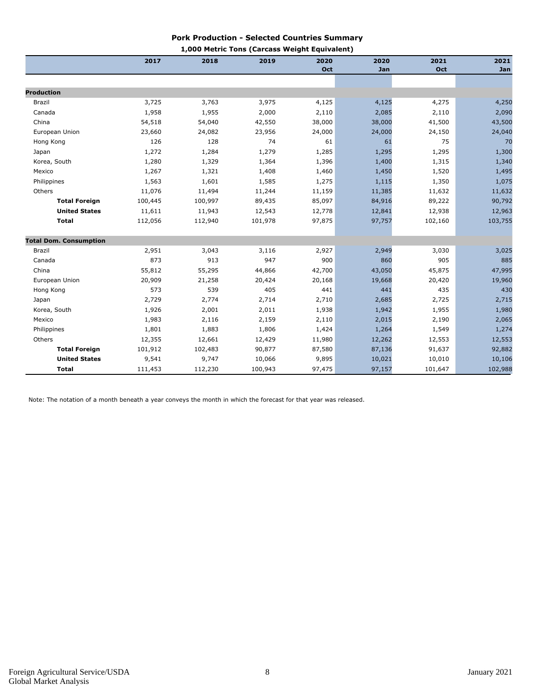#### **Pork Production - Selected Countries Summary 1,000 Metric Tons (Carcass Weight Equivalent)**

|                               | 2017    | 2018    | <b>I,000 Metric Tons (Carcass Weight Equivalent)</b><br>2019 | 2020   | 2020   | 2021    | 2021    |
|-------------------------------|---------|---------|--------------------------------------------------------------|--------|--------|---------|---------|
|                               |         |         |                                                              | Oct    | Jan    | Oct     | Jan     |
|                               |         |         |                                                              |        |        |         |         |
| <b>Production</b>             |         |         |                                                              |        |        |         |         |
| Brazil                        | 3,725   | 3,763   | 3,975                                                        | 4,125  | 4,125  | 4,275   | 4,250   |
| Canada                        | 1,958   | 1,955   | 2,000                                                        | 2,110  | 2,085  | 2,110   | 2,090   |
| China                         | 54,518  | 54,040  | 42,550                                                       | 38,000 | 38,000 | 41,500  | 43,500  |
| European Union                | 23,660  | 24,082  | 23,956                                                       | 24,000 | 24,000 | 24,150  | 24,040  |
| Hong Kong                     | 126     | 128     | 74                                                           | 61     | 61     | 75      | 70      |
| Japan                         | 1,272   | 1,284   | 1,279                                                        | 1,285  | 1,295  | 1,295   | 1,300   |
| Korea, South                  | 1,280   | 1,329   | 1,364                                                        | 1,396  | 1,400  | 1,315   | 1,340   |
| Mexico                        | 1,267   | 1,321   | 1,408                                                        | 1,460  | 1,450  | 1,520   | 1,495   |
| Philippines                   | 1,563   | 1,601   | 1,585                                                        | 1,275  | 1,115  | 1,350   | 1,075   |
| Others                        | 11,076  | 11,494  | 11,244                                                       | 11,159 | 11,385 | 11,632  | 11,632  |
| <b>Total Foreign</b>          | 100,445 | 100,997 | 89,435                                                       | 85,097 | 84,916 | 89,222  | 90,792  |
| <b>United States</b>          | 11,611  | 11,943  | 12,543                                                       | 12,778 | 12,841 | 12,938  | 12,963  |
| <b>Total</b>                  | 112,056 | 112,940 | 101,978                                                      | 97,875 | 97,757 | 102,160 | 103,755 |
| <b>Total Dom. Consumption</b> |         |         |                                                              |        |        |         |         |
| Brazil                        | 2,951   | 3,043   | 3,116                                                        | 2,927  | 2,949  | 3,030   | 3,025   |
| Canada                        | 873     | 913     | 947                                                          | 900    | 860    | 905     | 885     |
| China                         | 55,812  | 55,295  | 44,866                                                       | 42,700 | 43,050 | 45,875  | 47,995  |
| European Union                | 20,909  | 21,258  | 20,424                                                       | 20,168 | 19,668 | 20,420  | 19,960  |
| Hong Kong                     | 573     | 539     | 405                                                          | 441    | 441    | 435     | 430     |
| Japan                         | 2,729   | 2,774   | 2,714                                                        | 2,710  | 2,685  | 2,725   | 2,715   |
| Korea, South                  | 1,926   | 2,001   | 2,011                                                        | 1,938  | 1,942  | 1,955   | 1,980   |
| Mexico                        | 1,983   | 2,116   | 2,159                                                        | 2,110  | 2,015  | 2,190   | 2,065   |
| Philippines                   | 1,801   | 1,883   | 1,806                                                        | 1,424  | 1,264  | 1,549   | 1,274   |
| Others                        | 12,355  | 12,661  | 12,429                                                       | 11,980 | 12,262 | 12,553  | 12,553  |
| <b>Total Foreign</b>          | 101,912 | 102,483 | 90,877                                                       | 87,580 | 87,136 | 91,637  | 92,882  |
| <b>United States</b>          | 9,541   | 9,747   | 10,066                                                       | 9,895  | 10,021 | 10,010  | 10,106  |
| <b>Total</b>                  | 111,453 | 112,230 | 100,943                                                      | 97,475 | 97,157 | 101,647 | 102,988 |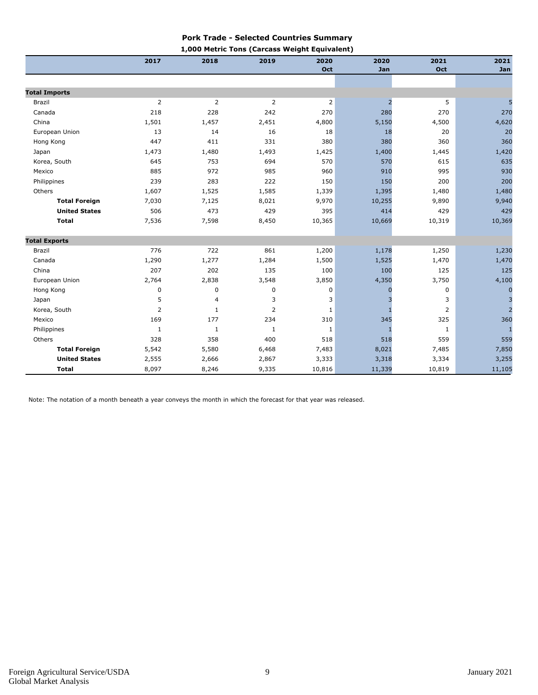#### **Pork Trade - Selected Countries Summary**

| 1,000 Metric Tons (Carcass Weight Equivalent) |  |  |
|-----------------------------------------------|--|--|
|                                               |  |  |

|                      | 2017           | 2018           | 2019           | 2020           | 2020           | 2021           | 2021           |
|----------------------|----------------|----------------|----------------|----------------|----------------|----------------|----------------|
|                      |                |                |                | Oct            | Jan            | Oct            | Jan            |
|                      |                |                |                |                |                |                |                |
| <b>Total Imports</b> |                |                |                |                |                |                |                |
| Brazil               | 2              | $\overline{2}$ | $\overline{2}$ | $\overline{2}$ | $\overline{2}$ | 5              |                |
| Canada               | 218            | 228            | 242            | 270            | 280            | 270            | 270            |
| China                | 1,501          | 1,457          | 2,451          | 4,800          | 5,150          | 4,500          | 4,620          |
| European Union       | 13             | 14             | 16             | 18             | 18             | 20             | 20             |
| Hong Kong            | 447            | 411            | 331            | 380            | 380            | 360            | 360            |
| Japan                | 1,473          | 1,480          | 1,493          | 1,425          | 1,400          | 1,445          | 1,420          |
| Korea, South         | 645            | 753            | 694            | 570            | 570            | 615            | 635            |
| Mexico               | 885            | 972            | 985            | 960            | 910            | 995            | 930            |
| Philippines          | 239            | 283            | 222            | 150            | 150            | 200            | 200            |
| Others               | 1,607          | 1,525          | 1,585          | 1,339          | 1,395          | 1,480          | 1,480          |
| <b>Total Foreign</b> | 7,030          | 7,125          | 8,021          | 9,970          | 10,255         | 9,890          | 9,940          |
| <b>United States</b> | 506            | 473            | 429            | 395            | 414            | 429            | 429            |
| <b>Total</b>         | 7,536          | 7,598          | 8,450          | 10,365         | 10,669         | 10,319         | 10,369         |
| <b>Total Exports</b> |                |                |                |                |                |                |                |
| Brazil               | 776            | 722            | 861            | 1,200          | 1,178          | 1,250          | 1,230          |
| Canada               | 1,290          | 1,277          | 1,284          | 1,500          | 1,525          | 1,470          | 1,470          |
| China                | 207            | 202            | 135            | 100            | 100            | 125            | 125            |
| European Union       | 2,764          | 2,838          | 3,548          | 3,850          | 4,350          | 3,750          | 4,100          |
| Hong Kong            | $\pmb{0}$      | 0              | $\pmb{0}$      | 0              |                | 0              | $\mathbf 0$    |
| Japan                | 5              | $\overline{4}$ | 3              | 3              |                | 3              | 3              |
| Korea, South         | $\overline{2}$ | 1              | $\overline{2}$ | 1              |                | $\overline{2}$ | $\overline{a}$ |
| Mexico               | 169            | 177            | 234            | 310            | 345            | 325            | 360            |
| Philippines          | 1              | 1              | 1              | 1              | -1             | $\mathbf{1}$   | -1             |
| Others               | 328            | 358            | 400            | 518            | 518            | 559            | 559            |
| <b>Total Foreign</b> | 5,542          | 5,580          | 6,468          | 7,483          | 8,021          | 7,485          | 7,850          |
| <b>United States</b> | 2,555          | 2,666          | 2,867          | 3,333          | 3,318          | 3,334          | 3,255          |
| <b>Total</b>         | 8,097          | 8,246          | 9,335          | 10,816         | 11,339         | 10,819         | 11,105         |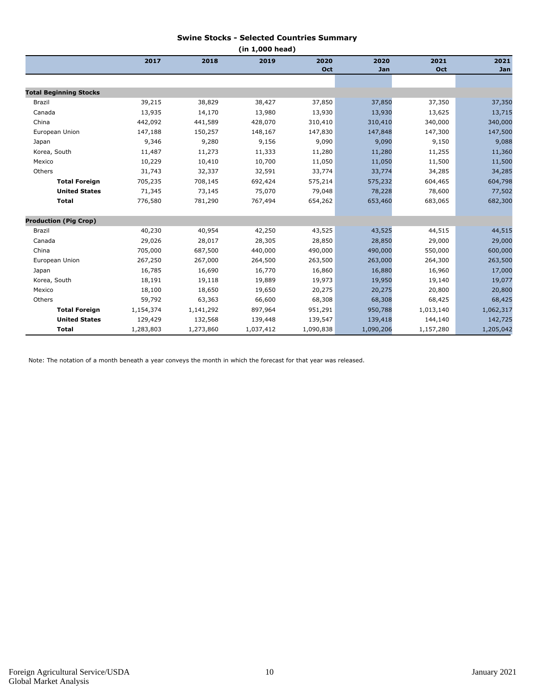#### **Swine Stocks - Selected Countries Summary**

| (in 1,000 head)               |           |           |           |           |           |           |           |  |  |
|-------------------------------|-----------|-----------|-----------|-----------|-----------|-----------|-----------|--|--|
|                               | 2017      | 2018      | 2019      | 2020      | 2020      | 2021      | 2021      |  |  |
|                               |           |           |           | Oct       | Jan       | Oct       | Jan       |  |  |
|                               |           |           |           |           |           |           |           |  |  |
| <b>Total Beginning Stocks</b> |           |           |           |           |           |           |           |  |  |
| <b>Brazil</b>                 | 39,215    | 38,829    | 38,427    | 37,850    | 37,850    | 37,350    | 37,350    |  |  |
| Canada                        | 13,935    | 14,170    | 13,980    | 13,930    | 13,930    | 13,625    | 13,715    |  |  |
| China                         | 442,092   | 441,589   | 428,070   | 310,410   | 310,410   | 340,000   | 340,000   |  |  |
| European Union                | 147,188   | 150,257   | 148,167   | 147,830   | 147,848   | 147,300   | 147,500   |  |  |
| Japan                         | 9,346     | 9,280     | 9,156     | 9,090     | 9,090     | 9,150     | 9,088     |  |  |
| Korea, South                  | 11,487    | 11,273    | 11,333    | 11,280    | 11,280    | 11,255    | 11,360    |  |  |
| Mexico                        | 10,229    | 10,410    | 10,700    | 11,050    | 11,050    | 11,500    | 11,500    |  |  |
| Others                        | 31,743    | 32,337    | 32,591    | 33,774    | 33,774    | 34,285    | 34,285    |  |  |
| <b>Total Foreign</b>          | 705,235   | 708,145   | 692,424   | 575,214   | 575,232   | 604,465   | 604,798   |  |  |
| <b>United States</b>          | 71,345    | 73,145    | 75,070    | 79,048    | 78,228    | 78,600    | 77,502    |  |  |
| <b>Total</b>                  | 776,580   | 781,290   | 767,494   | 654,262   | 653,460   | 683,065   | 682,300   |  |  |
| <b>Production (Pig Crop)</b>  |           |           |           |           |           |           |           |  |  |
| Brazil                        | 40,230    | 40,954    | 42,250    | 43,525    | 43,525    | 44,515    | 44,515    |  |  |
| Canada                        | 29,026    | 28,017    | 28,305    | 28,850    | 28,850    | 29,000    | 29,000    |  |  |
| China                         | 705,000   | 687,500   | 440,000   | 490,000   | 490,000   | 550,000   | 600,000   |  |  |
| European Union                | 267,250   | 267,000   | 264,500   | 263,500   | 263,000   | 264,300   | 263,500   |  |  |
| Japan                         | 16,785    | 16,690    | 16,770    | 16,860    | 16,880    | 16,960    | 17,000    |  |  |
| Korea, South                  | 18,191    | 19,118    | 19,889    | 19,973    | 19,950    | 19,140    | 19,077    |  |  |
| Mexico                        | 18,100    | 18,650    | 19,650    | 20,275    | 20,275    | 20,800    | 20,800    |  |  |
| Others                        | 59,792    | 63,363    | 66,600    | 68,308    | 68,308    | 68,425    | 68,425    |  |  |
| <b>Total Foreign</b>          | 1,154,374 | 1,141,292 | 897,964   | 951,291   | 950,788   | 1,013,140 | 1,062,317 |  |  |
| <b>United States</b>          | 129,429   | 132,568   | 139,448   | 139,547   | 139,418   | 144,140   | 142,725   |  |  |
| <b>Total</b>                  | 1,283,803 | 1,273,860 | 1,037,412 | 1,090,838 | 1,090,206 | 1,157,280 | 1,205,042 |  |  |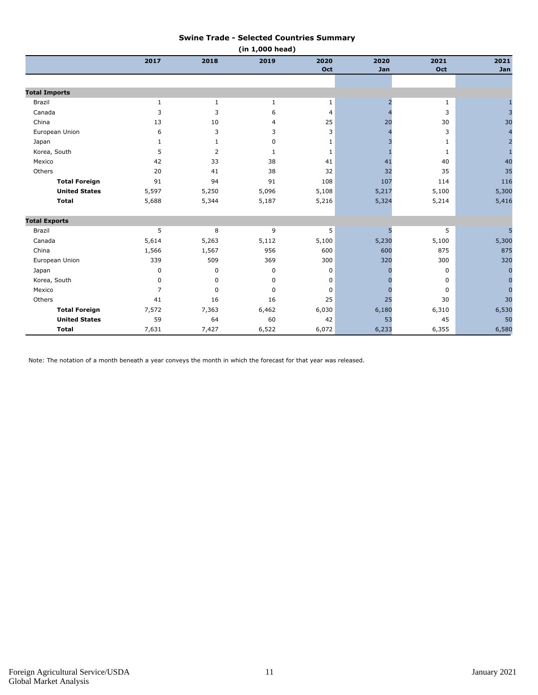#### **Swine Trade - Selected Countries Summary**

|                      | (in 1,000 head) |                |             |              |       |              |                |  |  |
|----------------------|-----------------|----------------|-------------|--------------|-------|--------------|----------------|--|--|
|                      | 2017            | 2018           | 2019        | 2020         | 2020  | 2021         | 2021           |  |  |
|                      |                 |                |             | Oct          | Jan   | Oct          | Jan            |  |  |
|                      |                 |                |             |              |       |              |                |  |  |
| <b>Total Imports</b> |                 |                |             |              |       |              |                |  |  |
| Brazil               | 1               | $\mathbf{1}$   | 1           | 1            | 2     | 1            |                |  |  |
| Canada               | 3               | 3              | 6           | 4            |       | 3            | $\overline{3}$ |  |  |
| China                | 13              | 10             | 4           | 25           | 20    | 30           | 30             |  |  |
| European Union       | 6               | 3              | 3           | 3            |       | 3            | $\overline{4}$ |  |  |
| Japan                | 1               | $\mathbf{1}$   | $\mathbf 0$ | $\mathbf{1}$ |       | $\mathbf{1}$ | $\overline{2}$ |  |  |
| Korea, South         | 5               | $\overline{2}$ | 1           | 1            |       | 1            | $\mathbf{1}$   |  |  |
| Mexico               | 42              | 33             | 38          | 41           | 41    | 40           | 40             |  |  |
| Others               | 20              | 41             | 38          | 32           | 32    | 35           | 35             |  |  |
| <b>Total Foreign</b> | 91              | 94             | 91          | 108          | 107   | 114          | 116            |  |  |
| <b>United States</b> | 5,597           | 5,250          | 5,096       | 5,108        | 5,217 | 5,100        | 5,300          |  |  |
| <b>Total</b>         | 5,688           | 5,344          | 5,187       | 5,216        | 5,324 | 5,214        | 5,416          |  |  |
| <b>Total Exports</b> |                 |                |             |              |       |              |                |  |  |
| <b>Brazil</b>        | 5               | 8              | 9           | 5            | 5     | 5            |                |  |  |
| Canada               | 5,614           | 5,263          | 5,112       | 5,100        | 5,230 | 5,100        | 5,300          |  |  |
| China                | 1,566           | 1,567          | 956         | 600          | 600   | 875          | 875            |  |  |
| European Union       | 339             | 509            | 369         | 300          | 320   | 300          | 320            |  |  |
| Japan                | 0               | 0              | 0           | 0            |       | 0            | $\overline{0}$ |  |  |
| Korea, South         | $\mathbf 0$     | $\mathbf 0$    | $\mathbf 0$ | $\mathbf 0$  |       | 0            | $\overline{0}$ |  |  |
| Mexico               | $\overline{7}$  | $\Omega$       | $\mathbf 0$ | 0            |       | 0            | $\Omega$       |  |  |
| Others               | 41              | 16             | 16          | 25           | 25    | 30           | 30             |  |  |
| <b>Total Foreign</b> | 7,572           | 7,363          | 6,462       | 6,030        | 6,180 | 6,310        | 6,530          |  |  |
| <b>United States</b> | 59              | 64             | 60          | 42           | 53    | 45           | 50             |  |  |
| <b>Total</b>         | 7,631           | 7,427          | 6,522       | 6,072        | 6,233 | 6,355        | 6,580          |  |  |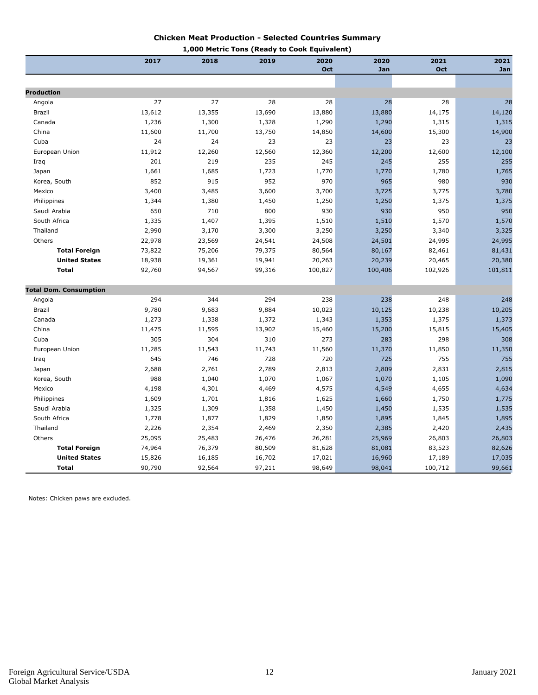#### **Chicken Meat Production - Selected Countries Summary 1,000 Metric Tons (Ready to Cook Equivalent)**

|                               | 2017   | 1,uuu<br>2018<br>2019 |        | $r = r \sin \theta$ rous (Keauy to Cook Equivalent)<br>2020 | 2020    | 2021    | 2021    |
|-------------------------------|--------|-----------------------|--------|-------------------------------------------------------------|---------|---------|---------|
|                               |        |                       |        | Oct                                                         | Jan     | Oct     | Jan     |
|                               |        |                       |        |                                                             |         |         |         |
| <b>Production</b>             |        |                       |        |                                                             |         |         |         |
| Angola                        | 27     | 27                    | 28     | 28                                                          | 28      | 28      | 28      |
| Brazil                        | 13,612 | 13,355                | 13,690 | 13,880                                                      | 13,880  | 14,175  | 14,120  |
| Canada                        | 1,236  | 1,300                 | 1,328  | 1,290                                                       | 1,290   | 1,315   | 1,315   |
| China                         | 11,600 | 11,700                | 13,750 | 14,850                                                      | 14,600  | 15,300  | 14,900  |
| Cuba                          | 24     | 24                    | 23     | 23                                                          | 23      | 23      | 23      |
| European Union                | 11,912 | 12,260                | 12,560 | 12,360                                                      | 12,200  | 12,600  | 12,100  |
| Iraq                          | 201    | 219                   | 235    | 245                                                         | 245     | 255     | 255     |
| Japan                         | 1,661  | 1,685                 | 1,723  | 1,770                                                       | 1,770   | 1,780   | 1,765   |
| Korea, South                  | 852    | 915                   | 952    | 970                                                         | 965     | 980     | 930     |
| Mexico                        | 3,400  | 3,485                 | 3,600  | 3,700                                                       | 3,725   | 3,775   | 3,780   |
| Philippines                   | 1,344  | 1,380                 | 1,450  | 1,250                                                       | 1,250   | 1,375   | 1,375   |
| Saudi Arabia                  | 650    | 710                   | 800    | 930                                                         | 930     | 950     | 950     |
| South Africa                  | 1,335  | 1,407                 | 1,395  | 1,510                                                       | 1,510   | 1,570   | 1,570   |
| Thailand                      | 2,990  | 3,170                 | 3,300  | 3,250                                                       | 3,250   | 3,340   | 3,325   |
| Others                        | 22,978 | 23,569                | 24,541 | 24,508                                                      | 24,501  | 24,995  | 24,995  |
| <b>Total Foreign</b>          | 73,822 | 75,206                | 79,375 | 80,564                                                      | 80,167  | 82,461  | 81,431  |
| <b>United States</b>          | 18,938 | 19,361                | 19,941 | 20,263                                                      | 20,239  | 20,465  | 20,380  |
| <b>Total</b>                  | 92,760 | 94,567                | 99,316 | 100,827                                                     | 100,406 | 102,926 | 101,811 |
|                               |        |                       |        |                                                             |         |         |         |
| <b>Total Dom. Consumption</b> |        |                       |        |                                                             |         |         |         |
| Angola                        | 294    | 344                   | 294    | 238                                                         | 238     | 248     | 248     |
| Brazil                        | 9,780  | 9,683                 | 9,884  | 10,023                                                      | 10,125  | 10,238  | 10,205  |
| Canada                        | 1,273  | 1,338                 | 1,372  | 1,343                                                       | 1,353   | 1,375   | 1,373   |
| China                         | 11,475 | 11,595                | 13,902 | 15,460                                                      | 15,200  | 15,815  | 15,405  |
| Cuba                          | 305    | 304                   | 310    | 273                                                         | 283     | 298     | 308     |
| European Union                | 11,285 | 11,543                | 11,743 | 11,560                                                      | 11,370  | 11,850  | 11,350  |
| Iraq                          | 645    | 746                   | 728    | 720                                                         | 725     | 755     | 755     |
| Japan                         | 2,688  | 2,761                 | 2,789  | 2,813                                                       | 2,809   | 2,831   | 2,815   |
| Korea, South                  | 988    | 1,040                 | 1,070  | 1,067                                                       | 1,070   | 1,105   | 1,090   |
| Mexico                        | 4,198  | 4,301                 | 4,469  | 4,575                                                       | 4,549   | 4,655   | 4,634   |
| Philippines                   | 1,609  | 1,701                 | 1,816  | 1,625                                                       | 1,660   | 1,750   | 1,775   |
| Saudi Arabia                  | 1,325  | 1,309                 | 1,358  | 1,450                                                       | 1,450   | 1,535   | 1,535   |
| South Africa                  | 1,778  | 1,877                 | 1,829  | 1,850                                                       | 1,895   | 1,845   | 1,895   |
| Thailand                      | 2,226  | 2,354                 | 2,469  | 2,350                                                       | 2,385   | 2,420   | 2,435   |
| Others                        | 25,095 | 25,483                | 26,476 | 26,281                                                      | 25,969  | 26,803  | 26,803  |
| <b>Total Foreign</b>          | 74,964 | 76,379                | 80,509 | 81,628                                                      | 81,081  | 83,523  | 82,626  |
| <b>United States</b>          | 15,826 | 16,185                | 16,702 | 17,021                                                      | 16,960  | 17,189  | 17,035  |
| <b>Total</b>                  | 90,790 | 92,564                | 97,211 | 98,649                                                      | 98,041  | 100,712 | 99,661  |

Notes: Chicken paws are excluded.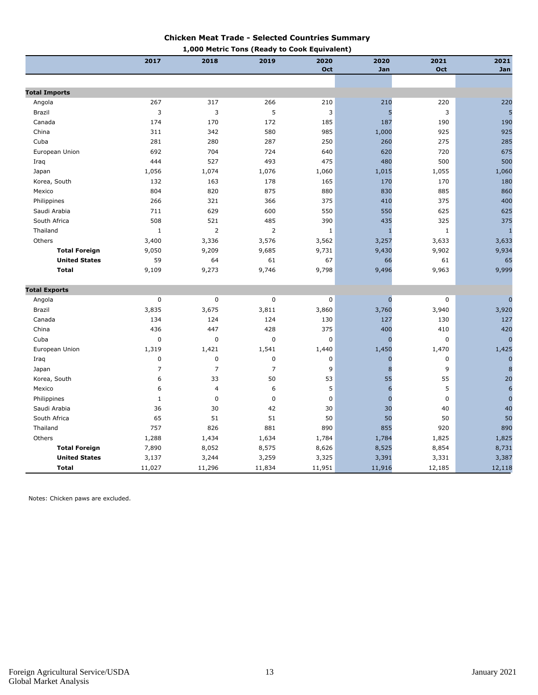#### **Chicken Meat Trade - Selected Countries Summary**

|                      |                |                | 1,000 Metric Tons (Ready to Cook Equivalent) |             |             |             |                  |
|----------------------|----------------|----------------|----------------------------------------------|-------------|-------------|-------------|------------------|
|                      | 2017           | 2018           | 2019                                         | 2020        | 2020        | 2021        | 2021             |
|                      |                |                |                                              | Oct         | Jan         | Oct         | Jan              |
|                      |                |                |                                              |             |             |             |                  |
| <b>Total Imports</b> |                |                |                                              |             |             |             |                  |
| Angola               | 267            | 317            | 266                                          | 210         | 210         | 220         | 220              |
| Brazil               | 3              | 3              | 5                                            | 3           | 5           | 3           | 5                |
| Canada               | 174            | 170            | 172                                          | 185         | 187         | 190         | 190              |
| China                | 311            | 342            | 580                                          | 985         | 1,000       | 925         | 925              |
| Cuba                 | 281            | 280            | 287                                          | 250         | 260         | 275         | 285              |
| European Union       | 692            | 704            | 724                                          | 640         | 620         | 720         | 675              |
| Iraq                 | 444            | 527            | 493                                          | 475         | 480         | 500         | 500              |
| Japan                | 1,056          | 1,074          | 1,076                                        | 1,060       | 1,015       | 1,055       | 1,060            |
| Korea, South         | 132            | 163            | 178                                          | 165         | 170         | 170         | 180              |
| Mexico               | 804            | 820            | 875                                          | 880         | 830         | 885         | 860              |
| Philippines          | 266            | 321            | 366                                          | 375         | 410         | 375         | 400              |
| Saudi Arabia         | 711            | 629            | 600                                          | 550         | 550         | 625         | 625              |
| South Africa         | 508            | 521            | 485                                          | 390         | 435         | 325         | 375              |
| Thailand             | $\mathbf 1$    | $\overline{2}$ | $\overline{2}$                               | $\mathbf 1$ | I           | $\mathbf 1$ | $\mathbf{1}$     |
| Others               | 3,400          | 3,336          | 3,576                                        | 3,562       | 3,257       | 3,633       | 3,633            |
| <b>Total Foreign</b> | 9,050          | 9,209          | 9,685                                        | 9,731       | 9,430       | 9,902       | 9,934            |
| <b>United States</b> | 59             | 64             | 61                                           | 67          | 66          | 61          | 65               |
| <b>Total</b>         | 9,109          | 9,273          | 9,746                                        | 9,798       | 9,496       | 9,963       | 9,999            |
| <b>Total Exports</b> |                |                |                                              |             |             |             |                  |
| Angola               | $\mathbf 0$    | $\pmb{0}$      | 0                                            | $\mathbf 0$ | $\mathbf 0$ | $\mathbf 0$ | $\overline{0}$   |
| Brazil               | 3,835          | 3,675          | 3,811                                        | 3,860       | 3,760       | 3,940       | 3,920            |
| Canada               | 134            | 124            | 124                                          | 130         | 127         | 130         | 127              |
| China                | 436            | 447            | 428                                          | 375         | 400         | 410         | 420              |
| Cuba                 | $\mathbf 0$    | 0              | 0                                            | $\mathbf 0$ | $\Omega$    | 0           | $\overline{0}$   |
| European Union       | 1,319          | 1,421          | 1,541                                        | 1,440       | 1,450       | 1,470       | 1,425            |
| Iraq                 | $\pmb{0}$      | $\pmb{0}$      | 0                                            | $\mathbf 0$ | 0           | 0           | $\mathbf 0$      |
| Japan                | $\overline{7}$ | $\overline{7}$ | 7                                            | 9           | 8           | 9           | 8                |
| Korea, South         | 6              | 33             | 50                                           | 53          | 55          | 55          | 20               |
| Mexico               | 6              | 4              | 6                                            | 5           | 6           | 5           | $\boldsymbol{6}$ |
| Philippines          | $\mathbf{1}$   | $\pmb{0}$      | $\pmb{0}$                                    | $\mathbf 0$ | $\mathbf 0$ | $\mathbf 0$ | $\mathbf{0}$     |
| Saudi Arabia         | 36             | 30             | 42                                           | 30          | 30          | 40          | 40               |
| South Africa         | 65             | 51             | 51                                           | 50          | 50          | 50          | 50               |
| Thailand             | 757            | 826            | 881                                          | 890         | 855         | 920         | 890              |
|                      |                |                |                                              |             |             |             |                  |
| Others               | 1,288          | 1,434          | 1,634                                        | 1,784       | 1,784       | 1,825       | 1,825            |
| <b>Total Foreign</b> | 7,890          | 8,052          | 8,575                                        | 8,626       | 8,525       | 8,854       | 8,731            |
| <b>United States</b> | 3,137          | 3,244          | 3,259                                        | 3,325       | 3,391       | 3,331       | 3,387            |
| <b>Total</b>         | 11,027         | 11,296         | 11,834                                       | 11,951      | 11,916      | 12,185      | 12,118           |

Notes: Chicken paws are excluded.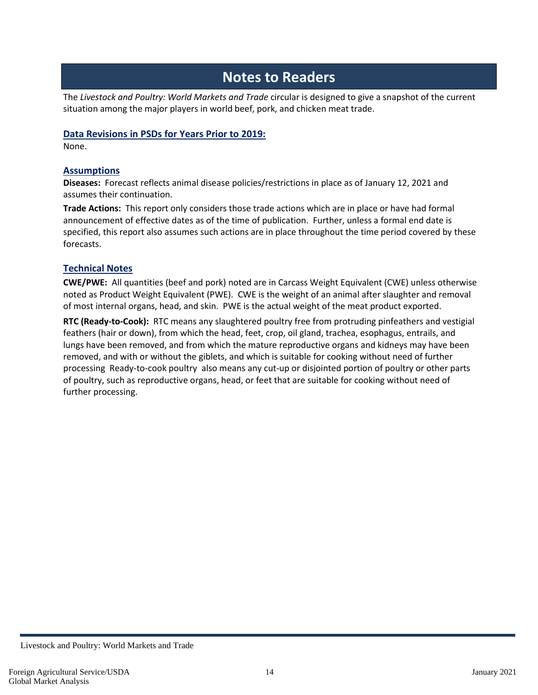## **Notes to Readers**

The *Livestock and Poultry: World Markets and Trade* circular is designed to give a snapshot of the current situation among the major players in world beef, pork, and chicken meat trade.

#### **Data Revisions in PSDs for Years Prior to 2019:**

None.

#### **Assumptions**

**Diseases:** Forecast reflects animal disease policies/restrictions in place as of January 12, 2021 and assumes their continuation.

**Trade Actions:** This report only considers those trade actions which are in place or have had formal announcement of effective dates as of the time of publication. Further, unless a formal end date is specified, this report also assumes such actions are in place throughout the time period covered by these forecasts.

#### **Technical Notes**

**CWE/PWE:** All quantities (beef and pork) noted are in Carcass Weight Equivalent (CWE) unless otherwise noted as Product Weight Equivalent (PWE). CWE is the weight of an animal after slaughter and removal of most internal organs, head, and skin. PWE is the actual weight of the meat product exported.

**RTC (Ready-to-Cook):** RTC means any slaughtered poultry free from protruding pinfeathers and vestigial feathers (hair or down), from which the head, feet, crop, oil gland, trachea, esophagus, entrails, and lungs have been removed, and from which the mature reproductive organs and kidneys may have been removed, and with or without the giblets, and which is suitable for cooking without need of further processing Ready-to-cook poultry also means any cut-up or disjointed portion of poultry or other parts of poultry, such as reproductive organs, head, or feet that are suitable for cooking without need of further processing.

Livestock and Poultry: World Markets and Trade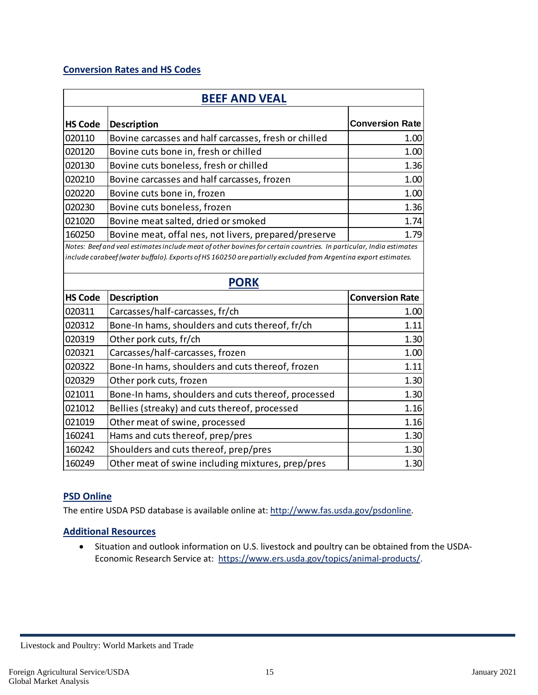#### **Conversion Rates and HS Codes**

| <b>BEEF AND VEAL</b> |                                                                                                                                                                                                                                                     |                        |  |  |
|----------------------|-----------------------------------------------------------------------------------------------------------------------------------------------------------------------------------------------------------------------------------------------------|------------------------|--|--|
| <b>HS Code</b>       | Description                                                                                                                                                                                                                                         | <b>Conversion Rate</b> |  |  |
| 020110               | Bovine carcasses and half carcasses, fresh or chilled                                                                                                                                                                                               | 1.00                   |  |  |
| 020120               | Bovine cuts bone in, fresh or chilled                                                                                                                                                                                                               | 1.00                   |  |  |
| 020130               | Bovine cuts boneless, fresh or chilled                                                                                                                                                                                                              | 1.36                   |  |  |
| 020210               | Bovine carcasses and half carcasses, frozen                                                                                                                                                                                                         | 1.00                   |  |  |
| 020220               | Bovine cuts bone in, frozen                                                                                                                                                                                                                         | 1.00                   |  |  |
| 020230               | Bovine cuts boneless, frozen                                                                                                                                                                                                                        | 1.36                   |  |  |
| 021020               | Bovine meat salted, dried or smoked                                                                                                                                                                                                                 | 1.74                   |  |  |
| 160250               | Bovine meat, offal nes, not livers, prepared/preserve                                                                                                                                                                                               | 1.79                   |  |  |
|                      | Notes: Beef and veal estimates include meat of other bovines for certain countries. In particular, India estimates<br>include carabeef (water buffalo). Exports of HS 160250 are partially excluded from Argentina export estimates.<br><b>PORK</b> |                        |  |  |
| <b>HS Code</b>       | <b>Description</b>                                                                                                                                                                                                                                  | <b>Conversion Rate</b> |  |  |
| 020311               | Carcasses/half-carcasses, fr/ch                                                                                                                                                                                                                     | 1.00                   |  |  |
| 020312               | Bone-In hams, shoulders and cuts thereof, fr/ch                                                                                                                                                                                                     | 1.11                   |  |  |
| 020319               | Other pork cuts, fr/ch                                                                                                                                                                                                                              | 1.30                   |  |  |
| 020321               | Carcasses/half-carcasses, frozen                                                                                                                                                                                                                    | 1.00                   |  |  |
| 020322               | Bone-In hams, shoulders and cuts thereof, frozen                                                                                                                                                                                                    | 1.11                   |  |  |
| 020329               | Other pork cuts, frozen                                                                                                                                                                                                                             | 1.30                   |  |  |
| 021011               | Bone-In hams, shoulders and cuts thereof, processed                                                                                                                                                                                                 | 1.30                   |  |  |
| 021012               | Bellies (streaky) and cuts thereof, processed                                                                                                                                                                                                       | 1.16                   |  |  |
| 021019               | Other meat of swine, processed                                                                                                                                                                                                                      | 1.16                   |  |  |
| 160241               | Hams and cuts thereof, prep/pres                                                                                                                                                                                                                    | 1.30                   |  |  |
| 160242               | Shoulders and cuts thereof, prep/pres                                                                                                                                                                                                               | 1.30                   |  |  |
| 160249               | Other meat of swine including mixtures, prep/pres                                                                                                                                                                                                   | 1.30                   |  |  |

#### **PSD Online**

The entire USDA PSD database is available online at: [http://www.fas.usda.gov/psdonline.](http://www.fas.usda.gov/psdonline)

#### **Additional Resources**

• Situation and outlook information on U.S. livestock and poultry can be obtained from the USDA-Economic Research Service at: [https://www.ers.usda.gov/topics/animal-products/.](https://www.ers.usda.gov/topics/animal-products/)

Livestock and Poultry: World Markets and Trade